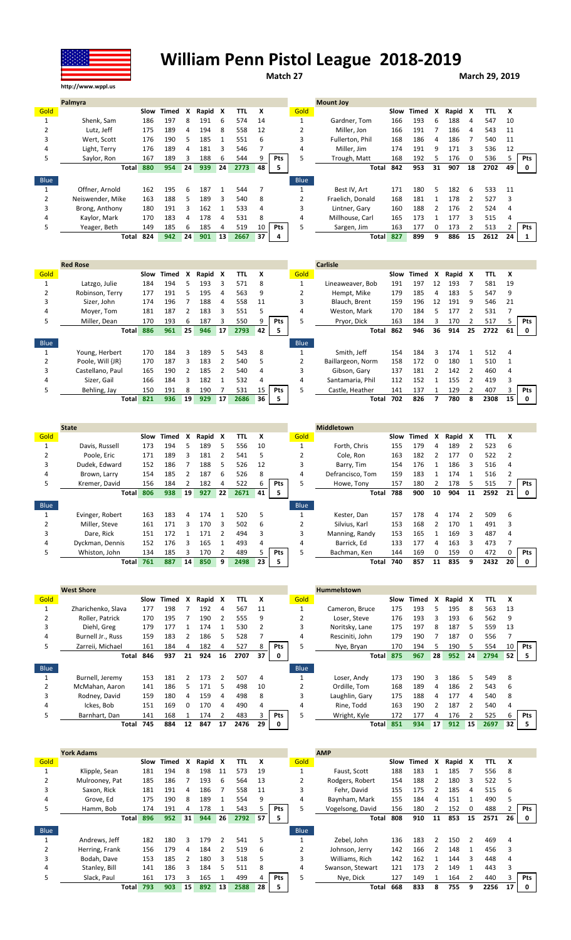

## William Penn Pistol League 2018-2019

Match 27 March 29, 2019

|      | Palmyra          |      |       |    |         |    |      |    |     |             | <b>Mount Joy</b> |      |       |    |         |               |      |    |     |
|------|------------------|------|-------|----|---------|----|------|----|-----|-------------|------------------|------|-------|----|---------|---------------|------|----|-----|
| Gold |                  | Slow | Timed | x  | Rapid X |    | TTL  | x  |     | Gold        |                  | Slow | Timed | X  | Rapid X |               | TTL  | x  |     |
|      | Shenk, Sam       | 186  | 197   | 8  | 191     | 6  | 574  | 14 |     |             | Gardner. Tom     | 166  | 193   | h  | 188     | 4             | 547  | 10 |     |
|      | Lutz. Jeff       | 175  | 189   | 4  | 194     | 8  | 558  | 12 |     |             | Miller. Jon      | 166  | 191   |    | 186     | 4             | 543  | 11 |     |
| 3    | Wert, Scott      | 176  | 190   |    | 185     |    | 551  | 6  |     | 3           | Fullerton, Phil  | 168  | 186   | 4  | 186     |               | 540  | 11 |     |
| 4    | Light, Terry     | 176  | 189   | 4  | 181     | 3  | 546  |    |     | 4           | Miller, Jim      | 174  | 191   | q  | 171     | 3             | 536  | 12 |     |
| 5    | Saylor, Ron      | 167  | 189   |    | 188     | 6  | 544  | q  | Pts | 5           | Trough, Matt     | 168  | 192   |    | 176     | 0             | 536  |    | Pts |
|      | <b>Total</b>     | 880  | 954   | 24 | 939     | 24 | 2773 | 48 | 5.  |             | Total            | 842  | 953   | 31 | 907     | 18            | 2702 | 49 |     |
| Blue |                  |      |       |    |         |    |      |    |     | <b>Blue</b> |                  |      |       |    |         |               |      |    |     |
|      | Offner, Arnold   | 162  | 195   | 6  | 187     |    | 544  |    |     |             | Best IV. Art     | 171  | 180   | 5. | 182     | 6             | 533  | 11 |     |
|      | Neiswender, Mike | 163  | 188   | 5. | 189     | 3  | 540  | 8  |     |             | Fraelich, Donald | 168  | 181   |    | 178     |               | 527  | 3  |     |
| 3    | Brong, Anthony   | 180  | 191   | ર  | 162     |    | 533  | 4  |     | 3           | Lintner. Garv    | 160  | 188   |    | 176     | $\mathcal{P}$ | 524  | 4  |     |
| 4    | Kaylor, Mark     | 170  | 183   | 4  | 178     | 4  | 531  | 8  |     | 4           | Millhouse, Carl  | 165  | 173   |    | 177     | 3             | 515  | 4  |     |
| 5    | Yeager, Beth     | 149  | 185   | 6. | 185     | 4  | 519  | 10 | Pts | 5           | Sargen, Jim      | 163  | 177   |    | 173     |               | 513  |    | Pts |
|      | Total            | 824  | 942   | 24 | 901     | 13 | 2667 | 37 | 4   |             | <b>Total</b>     | 827  | 899   | 9  | 886     | 15            | 2612 | 24 |     |

|      | <b>Red Rose</b>  |      |       |    |       |               |      |    |            |      | <b>Carlisle</b>   |      |       |          |       |    |      |    |     |
|------|------------------|------|-------|----|-------|---------------|------|----|------------|------|-------------------|------|-------|----------|-------|----|------|----|-----|
| Gold |                  | Slow | Timed | x  | Rapid | x             | TTL  | x  |            | Gold |                   | Slow | Timed | X        | Rapid | X  | TTL  | x  |     |
|      | Latzgo, Julie    | 184  | 194   | 5. | 193   | 3             | 571  | 8  |            |      | Lineaweaver, Bob  | 191  | 197   | 12       | 193   |    | 581  | 19 |     |
| 2    | Robinson, Terry  | 177  | 191   | 5. | 195   | 4             | 563  | 9  |            | L    | Hempt, Mike       | 179  | 185   | 4        | 183   | 5  | 547  | 9  |     |
| 3    | Sizer. John      | 174  | 196   |    | 188   | 4             | 558  | 11 |            |      | Blauch, Brent     | 159  | 196   | 12       | 191   | 9  | 546  | 21 |     |
| 4    | Moyer, Tom       | 181  | 187   |    | 183   | 3             | 551  | 5  |            | 4    | Weston, Mark      | 170  | 184   | 5.       | 177   |    | 531  |    |     |
| 5.   | Miller. Dean     | 170  | 193   | 6  | 187   | 3             | 550  | 9  | <b>Pts</b> | 5    | Pryor, Dick       | 163  | 184   | 3        | 170   |    | 517  |    | Pts |
|      | <b>Total</b>     | 886  | 961   | 25 | 946   | 17            | 2793 | 42 | 5          |      | Total             | 862  | 946   | 36       | 914   | 25 | 2722 | 61 | 0   |
| Blue |                  |      |       |    |       |               |      |    |            | Blue |                   |      |       |          |       |    |      |    |     |
|      | Young, Herbert   | 170  | 184   | ς  | 189   | 5             | 543  | 8  |            |      | Smith, Jeff       | 154  | 184   | ς        | 174   |    | 512  | 4  |     |
|      | Poole. Will {JR} | 170  | 187   | Ρ  | 183   |               | 540  | 5  |            |      | Baillargeon, Norm | 158  | 172   | $\Omega$ | 180   |    | 510  |    |     |
| 3    | Castellano, Paul | 165  | 190   | 2  | 185   | $\mathcal{P}$ | 540  | 4  |            | 3    | Gibson, Gary      | 137  | 181   | 2        | 142   |    | 460  |    |     |
| 4    | Sizer, Gail      | 166  | 184   | 3  | 182   |               | 532  | 4  |            | 4    | Santamaria, Phil  | 112  | 152   |          | 155   |    | 419  |    |     |
| 5.   | Behling, Jay     | 150  | 191   | 8  | 190   |               | 531  | 15 | Pts        | 5.   | Castle, Heather   | 141  | 137   |          | 129   |    | 407  |    | Pts |
|      | <b>Total</b>     | 821  | 936   | 19 | 929   | 17            | 2686 | 36 |            |      | <b>Total</b>      | 702  | 826   |          | 780   | 8  | 2308 | 15 | 0   |

|      | <b>State</b>    |      |       |    |       |    |      |    |            |             | <b>Middletown</b> |      |       |              |         |               |            |    |     |
|------|-----------------|------|-------|----|-------|----|------|----|------------|-------------|-------------------|------|-------|--------------|---------|---------------|------------|----|-----|
| Gold |                 | Slow | Timed | x  | Rapid | X  | TTL  | X  |            | Gold        |                   | Slow | Timed | X            | Rapid X |               | <b>TTL</b> | х  |     |
|      | Davis, Russell  | 173  | 194   | 5  | 189   | 5  | 556  | 10 |            |             | Forth. Chris      | 155  | 179   | 4            | 189     |               | 523        | 6  |     |
|      | Poole, Eric     | 171  | 189   | 3  | 181   |    | 541  | 5. |            |             | Cole, Ron         | 163  | 182   |              | 177     | 0             | 522        |    |     |
| 3    | Dudek, Edward   | 152  | 186   |    | 188   | 5  | 526  | 12 |            | 3           | Barry, Tim        | 154  | 176   |              | 186     | ξ             | 516        | 4  |     |
| 4    | Brown, Larry    | 154  | 185   |    | 187   | 6  | 526  | 8  |            | 4           | Defrancisco, Tom  | 159  | 183   |              | 174     |               | 516        |    |     |
| 5    | Kremer, David   | 156  | 184   |    | 182   | 4  | 522  | ь  | <b>Pts</b> |             | Howe, Tony        | 157  | 180   |              | 178     | 5             | 515        |    | Pts |
|      | <b>Total</b>    | 806  | 938   | 19 | 927   | 22 | 2671 | 41 | 5          |             | Total             | 788  | 900   | 10           | 904     | 11            | 2592       | 21 | 0   |
|      |                 |      |       |    |       |    |      |    |            |             |                   |      |       |              |         |               |            |    |     |
| Blue |                 |      |       |    |       |    |      |    |            | <b>Blue</b> |                   |      |       |              |         |               |            |    |     |
|      | Evinger, Robert | 163  | 183   | 4  | 174   |    | 520  | 5  |            |             | Kester, Dan       | 157  | 178   | 4            | 174     | $\mathcal{P}$ | 509        | 6  |     |
|      | Miller. Steve   | 161  | 171   | ٩  | 170   | ξ  | 502  | 6  |            |             | Silvius, Karl     | 153  | 168   |              | 170     |               | 491        |    |     |
| 3    | Dare, Rick      | 151  | 172   |    | 171   |    | 494  | 3  |            | 3           | Manning, Randy    | 153  | 165   |              | 169     | ξ             | 487        | 4  |     |
| 4    | Dyckman, Dennis | 152  | 176   | ς  | 165   |    | 493  | 4  |            | 4           | Barrick, Ed       | 133  | 177   |              | 163     | ς             | 473        |    |     |
| 5    | Whiston, John   | 134  | 185   | ς  | 170   |    | 489  |    | Pts        |             | Bachman, Ken      | 144  | 169   | <sup>n</sup> | 159     | <sup>0</sup>  | 472        |    | Pts |

|             | <b>West Shore</b>  |      |       |    |       |               |      |    |            |             | <b>Hummelstown</b> |      |       |    |         |    |      |    |            |
|-------------|--------------------|------|-------|----|-------|---------------|------|----|------------|-------------|--------------------|------|-------|----|---------|----|------|----|------------|
| Gold        |                    | Slow | Timed | x  | Rapid | X             | TTL  | x  |            | Gold        |                    | Slow | Timed | x  | Rapid X |    | TTL  | x  |            |
|             | Zharichenko, Slava | 177  | 198   |    | 192   | 4             | 567  | 11 |            |             | Cameron, Bruce     | 175  | 193   | ↖  | 195     | 8  | 563  | 13 |            |
|             | Roller, Patrick    | 170  | 195   |    | 190   |               | 555  | 9  |            |             | Loser. Steve       | 176  | 193   | ર  | 193     | 6  | 562  | 9  |            |
| 3           | Diehl. Greg        | 179  | 177   |    | 174   |               | 530  |    |            | 3           | Noritsky, Lane     | 175  | 197   | 8  | 187     | 5  | 559  | 13 |            |
| 4           | Burnell Jr., Russ  | 159  | 183   |    | 186   | 5             | 528  |    |            | 4           | Resciniti, John    | 179  | 190   |    | 187     | 0  | 556  |    |            |
| 5.          | Zarreii, Michael   | 161  | 184   | 4  | 182   | 4             | 527  |    | Pts        |             | Nye, Bryan         | 170  | 194   |    | 190     |    | 554  | 10 | <b>Pts</b> |
|             | Total              | 846  | 937   | 21 | 924   | 16            | 2707 | 37 | 0          |             | <b>Total</b>       | 875  | 967   | 28 | 952     | 24 | 2794 | 52 |            |
|             |                    |      |       |    |       |               |      |    |            |             |                    |      |       |    |         |    |      |    |            |
| <b>Blue</b> |                    |      |       |    |       |               |      |    |            | <b>Blue</b> |                    |      |       |    |         |    |      |    |            |
|             | Burnell, Jeremy    | 153  | 181   | 2  | 173   | $\mathcal{P}$ | 507  | 4  |            |             | Loser. Andy        | 173  | 190   | ₹  | 186     | 5  | 549  | 8  |            |
|             | McMahan, Aaron     | 141  | 186   | 5. | 171   | 5             | 498  | 10 |            |             | Ordille. Tom       | 168  | 189   | 4  | 186     |    | 543  | 6  |            |
| 3           | Rodney, David      | 159  | 180   | 4  | 159   | 4             | 498  | 8  |            | 3           | Laughlin, Gary     | 175  | 188   | 4  | 177     | 4  | 540  | 8  |            |
| 4           | Ickes, Bob         | 151  | 169   | 0  | 170   | 4             | 490  | 4  |            | 4           | Rine, Todd         | 163  | 190   |    | 187     |    | 540  |    |            |
| 5           | Barnhart, Dan      | 141  | 168   |    | 174   |               | 483  |    | <b>Pts</b> |             | Wright, Kyle       | 172  | 177   | Δ. | 176     |    | 525  | 6  | <b>Pts</b> |

|      | <b>York Adams</b> |      |       |    |       |    |      |     |     |             | <b>AMP</b>       |      |       |    |         |          |      |    |            |
|------|-------------------|------|-------|----|-------|----|------|-----|-----|-------------|------------------|------|-------|----|---------|----------|------|----|------------|
| Gold |                   | Slow | Timed | x  | Rapid | X  | TTL  | x   |     | Gold        |                  | Slow | Timed | X  | Rapid X |          | TTL  | x  |            |
|      | Klipple, Sean     | 181  | 194   |    | 198   | 11 | 573  | 19  |     |             | Faust, Scott     | 188  | 183   |    | 185     |          | 556  | 8  |            |
|      | Mulrooney, Pat    | 185  | 186   |    | 193   | 6  | 564  | 13  |     |             | Rodgers, Robert  | 154  | 188   |    | 180     | 3        | 522  | 5  |            |
|      | Saxon, Rick       | 181  | 191   | 4  | 186   |    | 558  | 11  |     |             | Fehr. David      | 155  | 175   |    | 185     | 4        | 515  | 6  |            |
| 4    | Grove, Ed         | 175  | 190   | 8  | 189   |    | 554  | 9   |     | 4           | Baynham, Mark    | 155  | 184   | 4  | 151     |          | 490  |    |            |
| 5    | Hamm, Bob         | 174  | 191   |    | 178   |    | 543  |     | Pts | 5           | Vogelsong, David | 156  | 180   |    | 152     | $\Omega$ | 488  |    | <b>Pts</b> |
|      | <b>Total</b>      | 896  | 952   | 31 | 944   | 26 | 2792 | 57. | 5.  |             | Total            | 808  | 910   | 11 | 853     | 15       | 2571 | 26 | 0          |
| Blue |                   |      |       |    |       |    |      |     |     | <b>Blue</b> |                  |      |       |    |         |          |      |    |            |
|      | Andrews, Jeff     | 182  | 180   |    | 179   |    | 541  | 5   |     |             | Zebel. John      | 136  | 183   |    | 150     |          | 469  | 4  |            |
|      | Herring, Frank    | 156  | 179   | 4  | 184   |    | 519  | 6   |     |             | Johnson, Jerry   | 142  | 166   |    | 148     |          | 456  | 3  |            |
|      | Bodah, Dave       | 153  | 185   |    | 180   | 3  | 518  | 5   |     |             | Williams, Rich   | 142  | 162   |    | 144     | ર        | 448  | 4  |            |
| 4    | Stanley, Bill     | 141  | 186   |    | 184   | 5. | 511  | 8   |     | 4           | Swanson, Stewart | 121  | 173   |    | 149     |          | 443  |    |            |
| 5.   | Slack, Paul       | 161  | 173   |    | 165   |    | 499  |     | Pts | 5           | Nye, Dick        | 127  | 149   |    | 164     |          | 440  |    | <b>Pts</b> |
|      | <b>Total</b>      | 793  | 903   | 15 | 892   | 13 | 2588 | 28  | 5.  |             | Total            | 668  | 833   | 8  | 755     | 9        | 2256 | 17 | 0          |